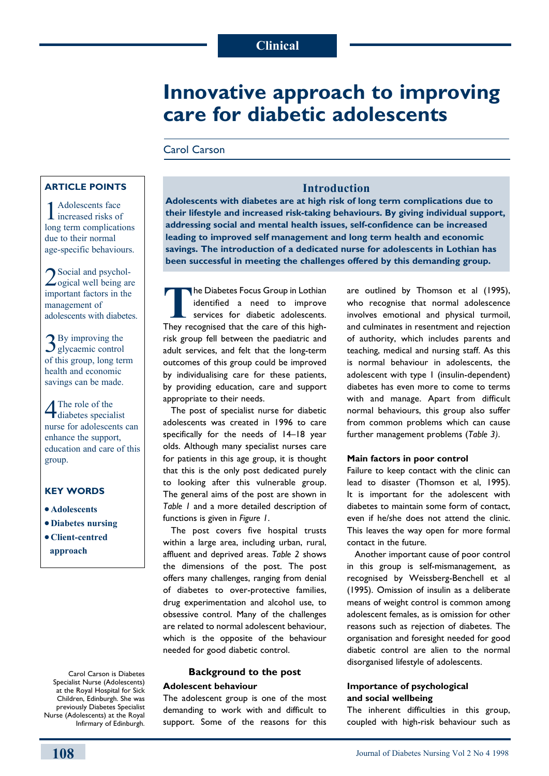# **Innovative approach to improving care for diabetic adolescents**

# Carol Carson

# **Article points**

Adolescents face increased risks of long term complications due to their normal age-specific behaviours.

2Social and psychol-ogical well being are important factors in the management of adolescents with diabetes.

3By improving the glycaemic control of this group, long term health and economic savings can be made.

4The role of the diabetes specialist nurse for adolescents can enhance the support, education and care of this group.

# **Key words**

- $\bullet$  Adolescents
- <sup>l</sup>**Diabetes nursing**
- <sup>l</sup>**Client-centred approach**

Carol Carson is Diabetes Specialist Nurse (Adolescents) at the Royal Hospital for Sick Children, Edinburgh. She was previously Diabetes Specialist Nurse (Adolescents) at the Royal Infirmary of Edinburgh.

# **Introduction**

**Adolescents with diabetes are at high risk of long term complications due to their lifestyle and increased risk-taking behaviours. By giving individual support, addressing social and mental health issues, self-confidence can be increased leading to improved self management and long term health and economic savings. The introduction of a dedicated nurse for adolescents in Lothian has been successful in meeting the challenges offered by this demanding group.**

**The Diabetes Focus Group in Lothian** identified a need to improve services for diabetic adolescents. They recognised that the care of this highrisk group fell between the paediatric and adult services, and felt that the long-term outcomes of this group could be improved by individualising care for these patients, by providing education, care and support appropriate to their needs.

The post of specialist nurse for diabetic adolescents was created in 1996 to care specifically for the needs of 14–18 year olds. Although many specialist nurses care for patients in this age group, it is thought that this is the only post dedicated purely to looking after this vulnerable group. The general aims of the post are shown in *Table 1* and a more detailed description of functions is given in *Figure 1*.

The post covers five hospital trusts within a large area, including urban, rural, affluent and deprived areas. *Table 2* shows the dimensions of the post. The post offers many challenges, ranging from denial of diabetes to over-protective families, drug experimentation and alcohol use, to obsessive control. Many of the challenges are related to normal adolescent behaviour, which is the opposite of the behaviour needed for good diabetic control.

# **Background to the post Adolescent behaviour**

The adolescent group is one of the most demanding to work with and difficult to support. Some of the reasons for this are outlined by Thomson et al (1995), who recognise that normal adolescence involves emotional and physical turmoil, and culminates in resentment and rejection of authority, which includes parents and teaching, medical and nursing staff. As this is normal behaviour in adolescents, the adolescent with type 1 (insulin-dependent) diabetes has even more to come to terms with and manage. Apart from difficult normal behaviours, this group also suffer from common problems which can cause further management problems (*Table 3)*.

#### **Main factors in poor control**

Failure to keep contact with the clinic can lead to disaster (Thomson et al, 1995). It is important for the adolescent with diabetes to maintain some form of contact, even if he/she does not attend the clinic. This leaves the way open for more formal contact in the future.

Another important cause of poor control in this group is self-mismanagement, as recognised by Weissberg-Benchell et al (1995). Omission of insulin as a deliberate means of weight control is common among adolescent females, as is omission for other reasons such as rejection of diabetes. The organisation and foresight needed for good diabetic control are alien to the normal disorganised lifestyle of adolescents.

## **Importance of psychological and social wellbeing**

The inherent difficulties in this group, coupled with high-risk behaviour such as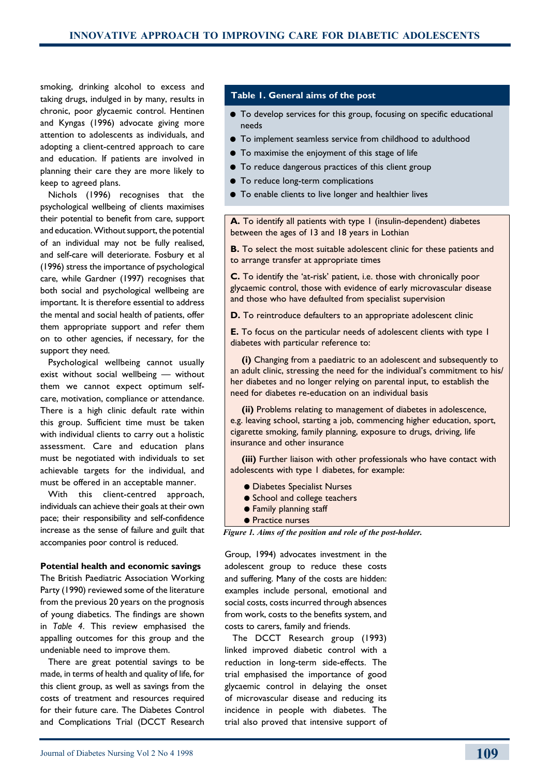smoking, drinking alcohol to excess and taking drugs, indulged in by many, results in chronic, poor glycaemic control. Hentinen and Kyngas (1996) advocate giving more attention to adolescents as individuals, and adopting a client-centred approach to care and education. If patients are involved in planning their care they are more likely to keep to agreed plans.

Nichols (1996) recognises that the psychological wellbeing of clients maximises their potential to benefit from care, support and education. Without support, the potential of an individual may not be fully realised, and self-care will deteriorate. Fosbury et al (1996) stress the importance of psychological care, while Gardner (1997) recognises that both social and psychological wellbeing are important. It is therefore essential to address the mental and social health of patients, offer them appropriate support and refer them on to other agencies, if necessary, for the support they need.

Psychological wellbeing cannot usually exist without social wellbeing — without them we cannot expect optimum selfcare, motivation, compliance or attendance. There is a high clinic default rate within this group. Sufficient time must be taken with individual clients to carry out a holistic assessment. Care and education plans must be negotiated with individuals to set achievable targets for the individual, and must be offered in an acceptable manner.

With this client-centred approach, individuals can achieve their goals at their own pace; their responsibility and self-confidence increase as the sense of failure and guilt that accompanies poor control is reduced.

#### **Potential health and economic savings**

The British Paediatric Association Working Party (1990) reviewed some of the literature from the previous 20 years on the prognosis of young diabetics. The findings are shown in *Table 4*. This review emphasised the appalling outcomes for this group and the undeniable need to improve them.

There are great potential savings to be made, in terms of health and quality of life, for this client group, as well as savings from the costs of treatment and resources required for their future care. The Diabetes Control and Complications Trial (DCCT Research

#### **Table 1. General aims of the post**

- $\bullet$  To develop services for this group, focusing on specific educational needs
- $\bullet$  To implement seamless service from childhood to adulthood
- $\bullet$  To maximise the enjoyment of this stage of life
- $\bullet$  To reduce dangerous practices of this client group
- $\bullet$  To reduce long-term complications
- To enable clients to live longer and healthier lives

**A.** To identify all patients with type 1 (insulin-dependent) diabetes between the ages of 13 and 18 years in Lothian

**B.** To select the most suitable adolescent clinic for these patients and to arrange transfer at appropriate times

**C.** To identify the 'at-risk' patient, i.e. those with chronically poor glycaemic control, those with evidence of early microvascular disease and those who have defaulted from specialist supervision

**D.** To reintroduce defaulters to an appropriate adolescent clinic

**E.** To focus on the particular needs of adolescent clients with type 1 diabetes with particular reference to:

 **(i)** Changing from a paediatric to an adolescent and subsequently to an adult clinic, stressing the need for the individual's commitment to his/ her diabetes and no longer relying on parental input, to establish the need for diabetes re-education on an individual basis

 **(ii)** Problems relating to management of diabetes in adolescence, e.g. leaving school, starting a job, commencing higher education, sport, cigarette smoking, family planning, exposure to drugs, driving, life insurance and other insurance

 **(iii)** Further liaison with other professionals who have contact with adolescents with type 1 diabetes, for example:

- **Diabetes Specialist Nurses**
- School and college teachers
- **Family planning staff**
- **e** Practice nurses

*Figure 1. Aims of the position and role of the post-holder.*

Group, 1994) advocates investment in the adolescent group to reduce these costs and suffering. Many of the costs are hidden: examples include personal, emotional and social costs, costs incurred through absences from work, costs to the benefits system, and costs to carers, family and friends.

The DCCT Research group (1993) linked improved diabetic control with a reduction in long-term side-effects. The trial emphasised the importance of good glycaemic control in delaying the onset of microvascular disease and reducing its incidence in people with diabetes. The trial also proved that intensive support of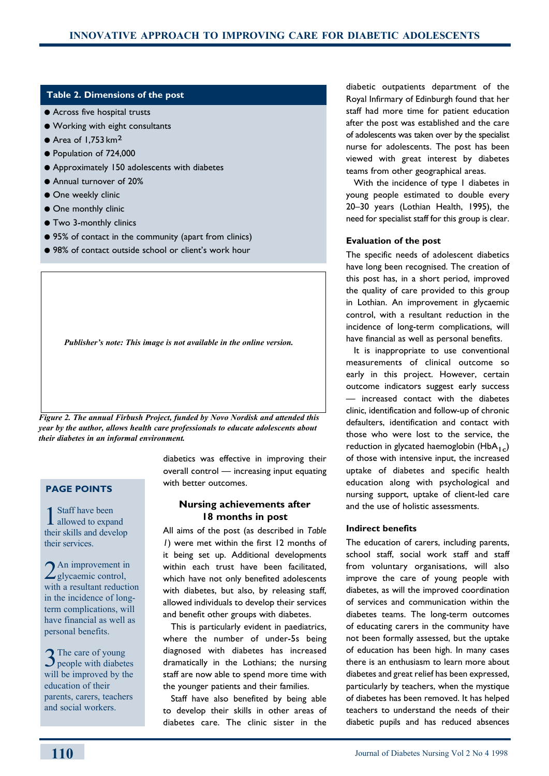#### **Table 2. Dimensions of the post**

- **•** Across five hospital trusts
- **Working with eight consultants**
- $\bullet$  Area of 1.753 km<sup>2</sup>
- Population of 724,000
- **•** Approximately 150 adolescents with diabetes
- **Annual turnover of 20%**
- **One weekly clinic**
- One monthly clinic
- **Two 3-monthly clinics**
- 95% of contact in the community (apart from clinics)
- 98% of contact outside school or client's work hour

*Publisher's note: This image is not available in the online version.* 

*Figure 2. The annual Firbush Project, funded by Novo Nordisk and attended this year by the author, allows health care professionals to educate adolescents about their diabetes in an informal environment.* 

# **Page points**

1 Staff have been<br>allowed to expand their skills and develop their services.

2 An improvement in glycaemic control, with a resultant reduction in the incidence of longterm complications, will have financial as well as personal benefits.

3The care of young<br>people with diabetes will be improved by the education of their parents, carers, teachers and social workers.

diabetics was effective in improving their overall control — increasing input equating with better outcomes.

## **Nursing achievements after 18 months in post**

All aims of the post (as described in *Table 1*) were met within the first 12 months of it being set up. Additional developments within each trust have been facilitated, which have not only benefited adolescents with diabetes, but also, by releasing staff, allowed individuals to develop their services and benefit other groups with diabetes.

This is particularly evident in paediatrics, where the number of under-5s being diagnosed with diabetes has increased dramatically in the Lothians; the nursing staff are now able to spend more time with the younger patients and their families.

Staff have also benefited by being able to develop their skills in other areas of diabetes care. The clinic sister in the diabetic outpatients department of the Royal Infirmary of Edinburgh found that her staff had more time for patient education after the post was established and the care of adolescents was taken over by the specialist nurse for adolescents. The post has been viewed with great interest by diabetes teams from other geographical areas.

With the incidence of type I diabetes in young people estimated to double every 20–30 years (Lothian Health, 1995), the need for specialist staff for this group is clear.

#### **Evaluation of the post**

The specific needs of adolescent diabetics have long been recognised. The creation of this post has, in a short period, improved the quality of care provided to this group in Lothian. An improvement in glycaemic control, with a resultant reduction in the incidence of long-term complications, will have financial as well as personal benefits.

It is inappropriate to use conventional measurements of clinical outcome so early in this project. However, certain outcome indicators suggest early success — increased contact with the diabetes clinic, identification and follow-up of chronic defaulters, identification and contact with those who were lost to the service, the reduction in glycated haemoglobin ( $HbA_{1c}$ ) of those with intensive input, the increased uptake of diabetes and specific health education along with psychological and nursing support, uptake of client-led care and the use of holistic assessments.

### **Indirect benefits**

The education of carers, including parents, school staff, social work staff and staff from voluntary organisations, will also improve the care of young people with diabetes, as will the improved coordination of services and communication within the diabetes teams. The long-term outcomes of educating carers in the community have not been formally assessed, but the uptake of education has been high. In many cases there is an enthusiasm to learn more about diabetes and great relief has been expressed, particularly by teachers, when the mystique of diabetes has been removed. It has helped teachers to understand the needs of their diabetic pupils and has reduced absences